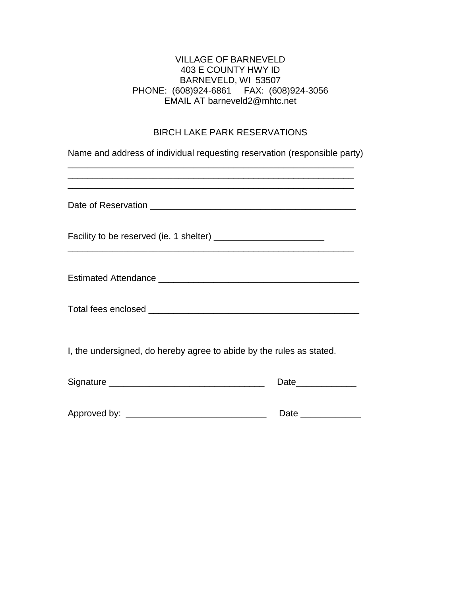### VILLAGE OF BARNEVELD 403 E COUNTY HWY ID BARNEVELD, WI 53507 PHONE: (608)924-6861 FAX: (608)924-3056 EMAIL AT barneveld2@mhtc.net

# BIRCH LAKE PARK RESERVATIONS

| Name and address of individual requesting reservation (responsible party) |                     |  |
|---------------------------------------------------------------------------|---------------------|--|
| <u> 1989 - Johann Stoff, amerikansk politiker (d. 1989)</u>               |                     |  |
|                                                                           |                     |  |
|                                                                           |                     |  |
|                                                                           |                     |  |
| I, the undersigned, do hereby agree to abide by the rules as stated.      |                     |  |
|                                                                           | Date______________  |  |
|                                                                           | Date ______________ |  |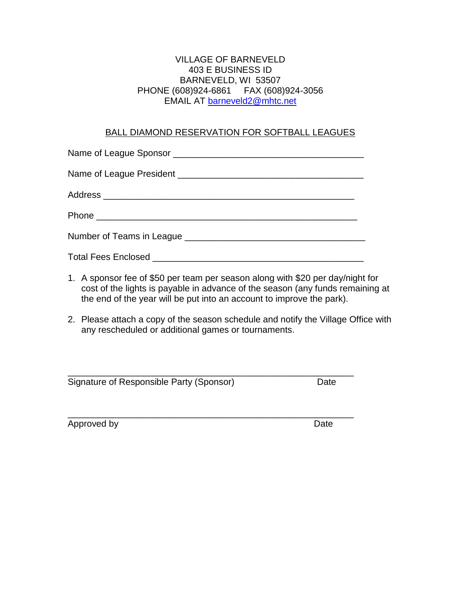### VILLAGE OF BARNEVELD 403 E BUSINESS ID BARNEVELD, WI 53507 PHONE (608)924-6861 FAX (608)924-3056 EMAIL AT [barneveld2@mhtc.net](mailto:barneveld2@mhtc.net)

### BALL DIAMOND RESERVATION FOR SOFTBALL LEAGUES

- 1. A sponsor fee of \$50 per team per season along with \$20 per day/night for cost of the lights is payable in advance of the season (any funds remaining at the end of the year will be put into an account to improve the park).
- 2. Please attach a copy of the season schedule and notify the Village Office with any rescheduled or additional games or tournaments.

\_\_\_\_\_\_\_\_\_\_\_\_\_\_\_\_\_\_\_\_\_\_\_\_\_\_\_\_\_\_\_\_\_\_\_\_\_\_\_\_\_\_\_\_\_\_\_\_\_\_\_\_\_\_\_\_\_

\_\_\_\_\_\_\_\_\_\_\_\_\_\_\_\_\_\_\_\_\_\_\_\_\_\_\_\_\_\_\_\_\_\_\_\_\_\_\_\_\_\_\_\_\_\_\_\_\_\_\_\_\_\_\_\_\_ Signature of Responsible Party (Sponsor) Date

Approved by Date Date